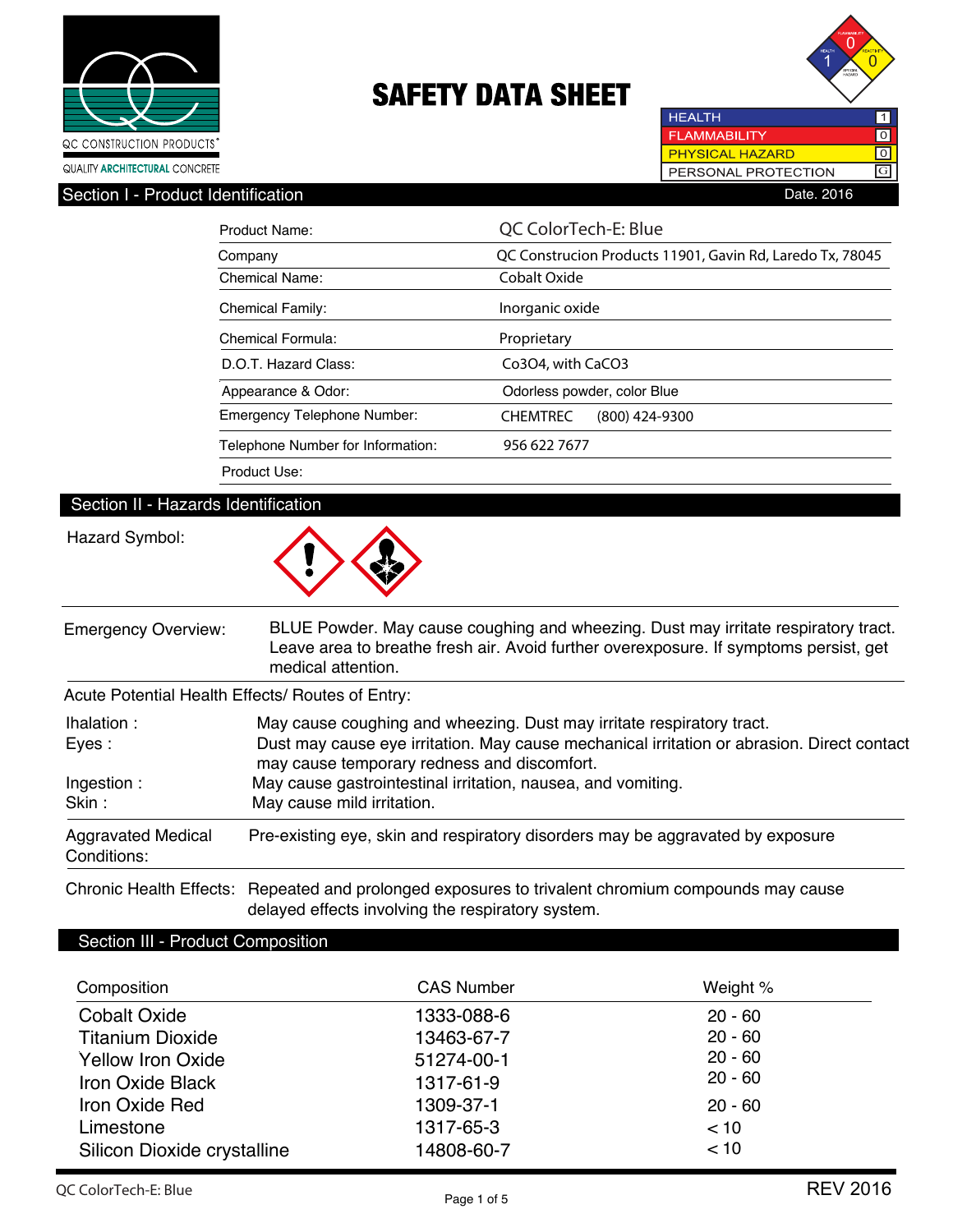



**HEALTH**  $\overline{\mathbf{1}}$ **FLAMMABILITY**  $\overline{10}$ **PHYSICAL HAZARD** ल PERSONAL PROTECTION  $\boxed{G}$ Section I - Product Identification **Date. 2016** 

| Product Name:                     | QC ColorTech-E: Blue                                      |  |  |
|-----------------------------------|-----------------------------------------------------------|--|--|
| Company                           | QC Construcion Products 11901, Gavin Rd, Laredo Tx, 78045 |  |  |
| <b>Chemical Name:</b>             | Cobalt Oxide                                              |  |  |
| <b>Chemical Family:</b>           | Inorganic oxide                                           |  |  |
| Chemical Formula:                 | Proprietary                                               |  |  |
| D.O.T. Hazard Class:              | Co3O4, with CaCO3                                         |  |  |
| Appearance & Odor:                | Odorless powder, color Blue                               |  |  |
| Emergency Telephone Number:       | <b>CHEMTREC</b><br>$(800)$ 424-9300                       |  |  |
| Telephone Number for Information: | 956 622 7677                                              |  |  |
| Product Use:                      |                                                           |  |  |

### Section II - Hazards Identification

### Hazard Symbol:



| <b>Emergency Overview:</b>                       | BLUE Powder. May cause coughing and wheezing. Dust may irritate respiratory tract.<br>Leave area to breathe fresh air. Avoid further overexposure. If symptoms persist, get<br>medical attention. |
|--------------------------------------------------|---------------------------------------------------------------------------------------------------------------------------------------------------------------------------------------------------|
| Acute Potential Health Effects/ Routes of Entry: |                                                                                                                                                                                                   |
|                                                  |                                                                                                                                                                                                   |

| lhalation :<br>Eyes:                     | May cause coughing and wheezing. Dust may irritate respiratory tract.<br>Dust may cause eye irritation. May cause mechanical irritation or abrasion. Direct contact<br>may cause temporary redness and discomfort. |
|------------------------------------------|--------------------------------------------------------------------------------------------------------------------------------------------------------------------------------------------------------------------|
| Ingestion:<br>Skin:                      | May cause gastrointestinal irritation, nausea, and vomiting.<br>May cause mild irritation.                                                                                                                         |
| <b>Aggravated Medical</b><br>Conditions: | Pre-existing eye, skin and respiratory disorders may be aggravated by exposure                                                                                                                                     |

Chronic Health Effects: Repeated and prolonged exposures to trivalent chromium compounds may cause delayed effects involving the respiratory system.

### Section III - Product Composition

| Composition                 | <b>CAS Number</b> | Weight %  |
|-----------------------------|-------------------|-----------|
| <b>Cobalt Oxide</b>         | 1333-088-6        | $20 - 60$ |
| <b>Titanium Dioxide</b>     | 13463-67-7        | $20 - 60$ |
| <b>Yellow Iron Oxide</b>    | 51274-00-1        | $20 - 60$ |
| <b>Iron Oxide Black</b>     | 1317-61-9         | $20 - 60$ |
| Iron Oxide Red              | 1309-37-1         | $20 - 60$ |
| Limestone                   | 1317-65-3         | < 10      |
| Silicon Dioxide crystalline | 14808-60-7        | < 10      |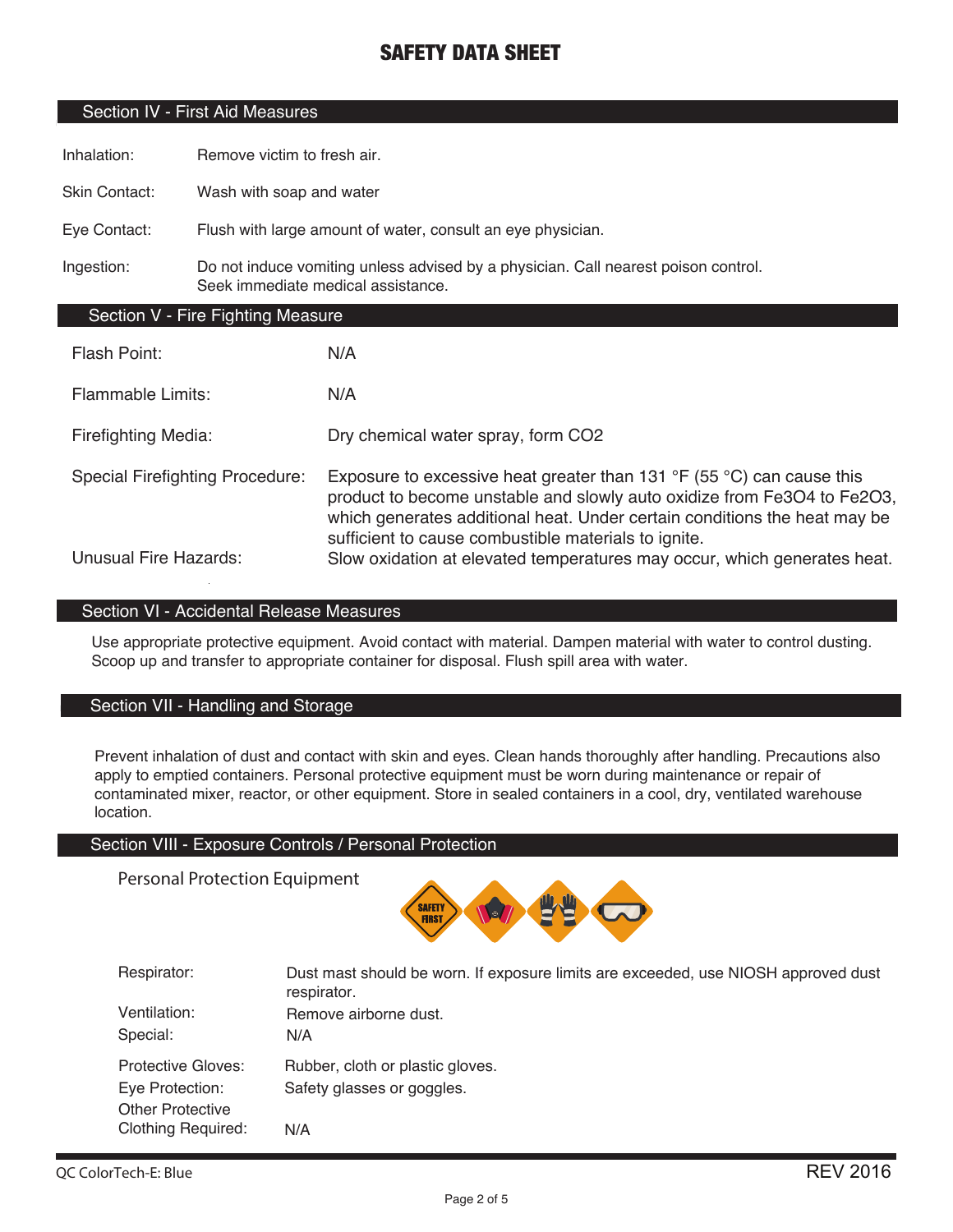### Section IV - First Aid Measures

Inhalation: Remove victim to fresh air.

Skin Contact: Wash with soap and water

Eye Contact: Flush with large amount of water, consult an eye physician.

Ingestion: Do not induce vomiting unless advised by a physician. Call nearest poison control. Seek immediate medical assistance.

### Section V - Fire Fighting Measure

| Flash Point:                           | N/A                                                                                                                                                                                                                                                                                                     |
|----------------------------------------|---------------------------------------------------------------------------------------------------------------------------------------------------------------------------------------------------------------------------------------------------------------------------------------------------------|
| <b>Flammable Limits:</b>               | N/A                                                                                                                                                                                                                                                                                                     |
| <b>Firefighting Media:</b>             | Dry chemical water spray, form CO2                                                                                                                                                                                                                                                                      |
| <b>Special Firefighting Procedure:</b> | Exposure to excessive heat greater than 131 $\degree$ F (55 $\degree$ C) can cause this<br>product to become unstable and slowly auto oxidize from Fe3O4 to Fe2O3,<br>which generates additional heat. Under certain conditions the heat may be<br>sufficient to cause combustible materials to ignite. |
| <b>Unusual Fire Hazards:</b>           | Slow oxidation at elevated temperatures may occur, which generates heat.                                                                                                                                                                                                                                |

### Section VI - Accidental Release Measures

Use appropriate protective equipment. Avoid contact with material. Dampen material with water to control dusting. Scoop up and transfer to appropriate container for disposal. Flush spill area with water.

### Section VII - Handling and Storage

Prevent inhalation of dust and contact with skin and eyes. Clean hands thoroughly after handling. Precautions also apply to emptied containers. Personal protective equipment must be worn during maintenance or repair of contaminated mixer, reactor, or other equipment. Store in sealed containers in a cool, dry, ventilated warehouse location.

#### Section VIII - Exposure Controls / Personal Protection

Personal Protection Equipment



| Respirator:               | Dust mast should be worn. If exposure limits are exceeded, use NIOSH approved dust<br>respirator. |
|---------------------------|---------------------------------------------------------------------------------------------------|
| Ventilation:              | Remove airborne dust.                                                                             |
| Special:                  | N/A                                                                                               |
| <b>Protective Gloves:</b> | Rubber, cloth or plastic gloves.                                                                  |
| Eye Protection:           | Safety glasses or goggles.                                                                        |
| <b>Other Protective</b>   |                                                                                                   |
| <b>Clothing Required:</b> | N/A                                                                                               |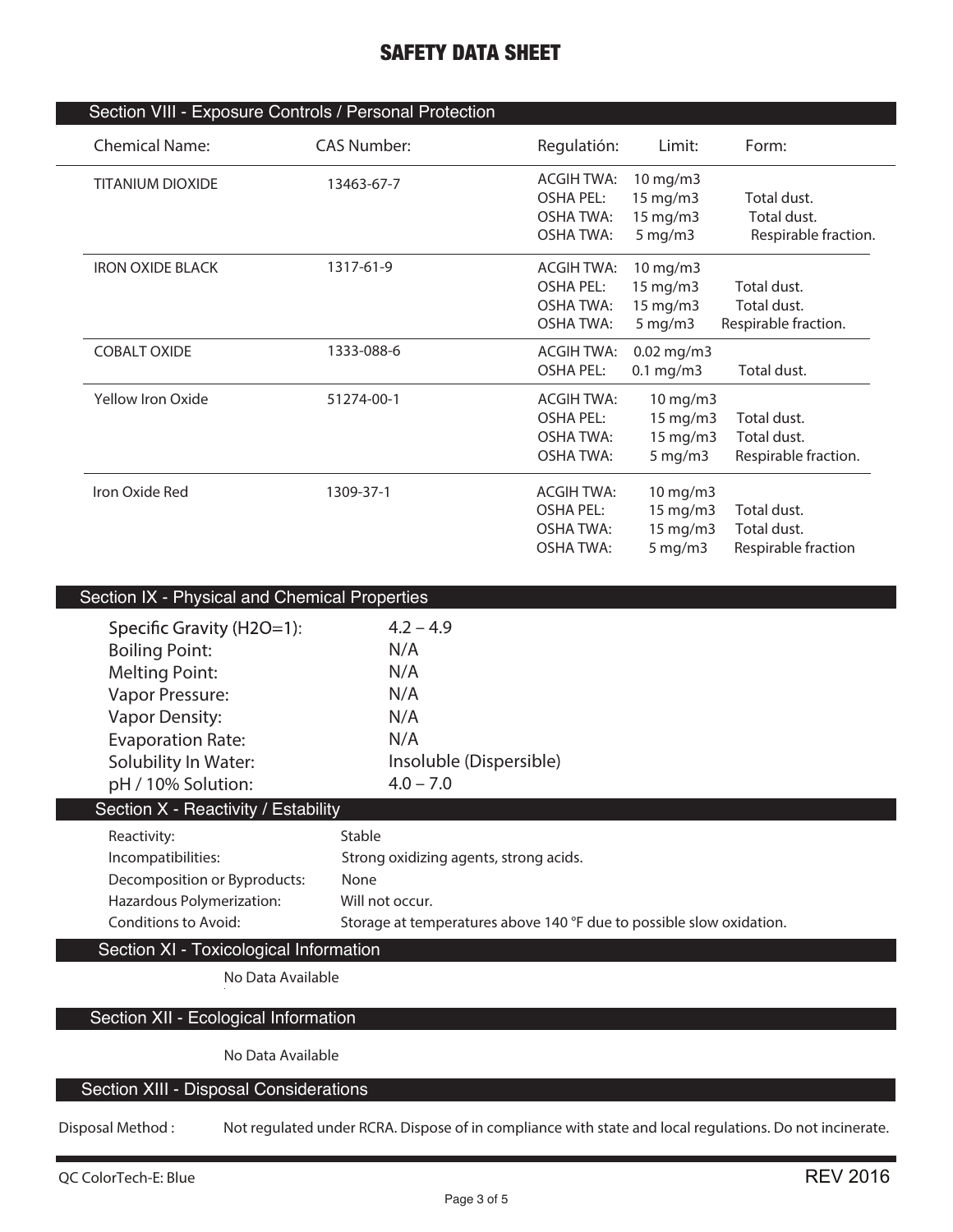| <b>Chemical Name:</b>   | Section VIII - Exposure Controls / Personal Protection<br><b>CAS Number:</b> |                   | Limit:               | Form:                |
|-------------------------|------------------------------------------------------------------------------|-------------------|----------------------|----------------------|
|                         |                                                                              | Regulatión:       |                      |                      |
| <b>TITANIUM DIOXIDE</b> | 13463-67-7                                                                   | <b>ACGIH TWA:</b> | 10 mg/m3             |                      |
|                         |                                                                              | <b>OSHA PEL:</b>  | 15 mg/m3             | Total dust.          |
|                         |                                                                              | <b>OSHA TWA:</b>  | 15 mg/m3             | Total dust.          |
|                         |                                                                              | <b>OSHA TWA:</b>  | $5$ mg/m $3$         | Respirable fraction. |
| <b>IRON OXIDE BLACK</b> | 1317-61-9                                                                    | <b>ACGIH TWA:</b> | 10 mg/m3             |                      |
|                         |                                                                              | <b>OSHA PEL:</b>  | 15 mg/m3             | Total dust.          |
|                         |                                                                              | <b>OSHA TWA:</b>  | 15 mg/m3             | Total dust.          |
|                         |                                                                              | <b>OSHA TWA:</b>  | $5$ mg/m $3$         | Respirable fraction. |
| <b>COBALT OXIDE</b>     | 1333-088-6                                                                   | <b>ACGIH TWA:</b> | $0.02$ mg/m3         |                      |
|                         |                                                                              | <b>OSHA PEL:</b>  | $0.1$ mg/m3          | Total dust.          |
| Yellow Iron Oxide       | 51274-00-1                                                                   | <b>ACGIH TWA:</b> | 10 mg/m3             |                      |
|                         |                                                                              | <b>OSHA PEL:</b>  | 15 mg/m3             | Total dust.          |
|                         |                                                                              | <b>OSHA TWA:</b>  | 15 mg/m3             | Total dust.          |
|                         |                                                                              | <b>OSHA TWA:</b>  | $5$ mg/m $3$         | Respirable fraction. |
| Iron Oxide Red          | 1309-37-1                                                                    | <b>ACGIH TWA:</b> | 10 mg/m3             |                      |
|                         |                                                                              | <b>OSHA PEL:</b>  | 15 mg/m3             | Total dust.          |
|                         |                                                                              | <b>OSHA TWA:</b>  | 15 mg/m3             | Total dust.          |
|                         |                                                                              | <b>OSHA TWA:</b>  | $5 \,\mathrm{mg/m3}$ | Respirable fraction  |
|                         |                                                                              |                   |                      |                      |

| Section IX - Physical and Unemical Properties    |                                                                      |
|--------------------------------------------------|----------------------------------------------------------------------|
| Specific Gravity (H2O=1):                        | $4.2 - 4.9$                                                          |
| <b>Boiling Point:</b>                            | N/A                                                                  |
| <b>Melting Point:</b>                            | N/A                                                                  |
| Vapor Pressure:                                  | N/A                                                                  |
| <b>Vapor Density:</b>                            | N/A                                                                  |
| <b>Evaporation Rate:</b>                         | N/A                                                                  |
| Solubility In Water:                             | Insoluble (Dispersible)                                              |
| pH / 10% Solution:                               | $4.0 - 7.0$                                                          |
| Section $\overline{X}$ - Reactivity / Estability |                                                                      |
| Reactivity:                                      | Stable                                                               |
| Incompatibilities:                               | Strong oxidizing agents, strong acids.                               |
| Decomposition or Byproducts:                     | None                                                                 |
| Hazardous Polymerization:                        | Will not occur.                                                      |
| Conditions to Avoid:                             | Storage at temperatures above 140 °F due to possible slow oxidation. |
| Section XI - Toxicological Information           |                                                                      |
| No Data Available                                |                                                                      |
|                                                  |                                                                      |

### Section XII - Ecological Information

**No Data Available**

### Section XIII - Disposal Considerations

**Disposal Method : Not regulated under RCRA. Dispose of in compliance with state and local regulations. Do not incinerate.**

I.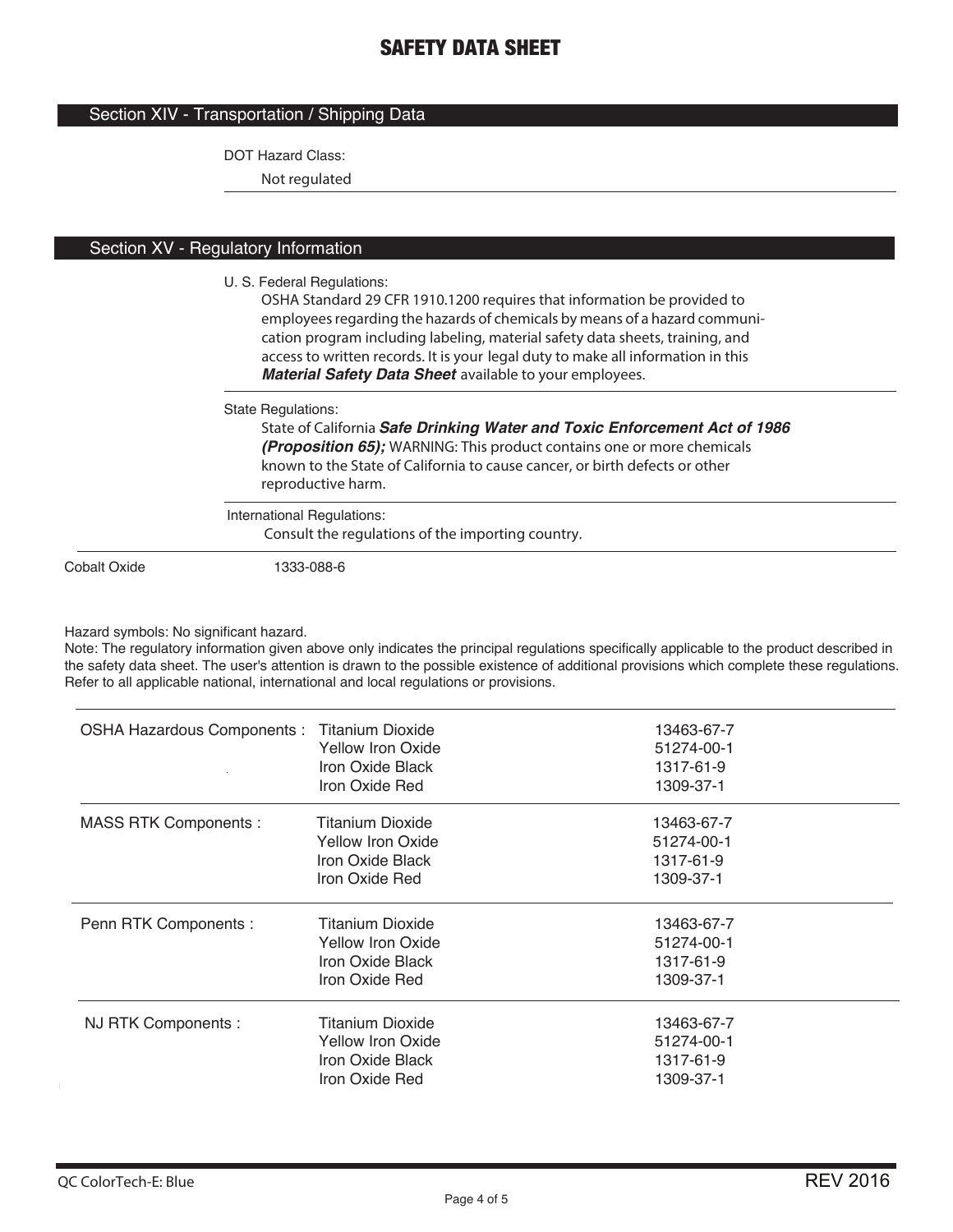### Section XIV - Transportation / Shipping Data

DOT Hazard Class:

**Not regulated**

### Section XV - Regulatory Information

#### U. S. Federal Regulations:

**OSHA Standard 29 CFR 1910.1200 requires that information be provided to employees regarding the hazards of chemicals by means of a hazard communication program including labeling, material safety data sheets, training, and access to written records. It is your legal duty to make all information in this**  *Material Safety Data Sheet* **available to your employees.**

State Regulations:

**State of California** *Safe Drinking Water and Toxic Enforcement Act of 1986 (Proposition 65);* **WARNING: This product contains one or more chemicals known to the State of California to cause cancer, or birth defects or other reproductive harm.**

#### International Regulations:

**Consult the regulations of the importing country.**

Cobalt Oxide 1333-088-6

#### Hazard symbols: No significant hazard.

Note: The regulatory information given above only indicates the principal regulations specifically applicable to the product described in the safety data sheet. The user's attention is drawn to the possible existence of additional provisions which complete these regulations. Refer to all applicable national, international and local regulations or provisions.

| OSHA Hazardous Components : Titanium Dioxide | Yellow Iron Oxide<br>Iron Oxide Black<br>Iron Oxide Red                            | 13463-67-7<br>51274-00-1<br>1317-61-9<br>1309-37-1 |
|----------------------------------------------|------------------------------------------------------------------------------------|----------------------------------------------------|
| <b>MASS RTK Components:</b>                  | <b>Titanium Dioxide</b><br>Yellow Iron Oxide<br>Iron Oxide Black<br>Iron Oxide Red | 13463-67-7<br>51274-00-1<br>1317-61-9<br>1309-37-1 |
| Penn RTK Components :                        | <b>Titanium Dioxide</b><br>Yellow Iron Oxide<br>Iron Oxide Black<br>Iron Oxide Red | 13463-67-7<br>51274-00-1<br>1317-61-9<br>1309-37-1 |
| NJ RTK Components :                          | Titanium Dioxide<br><b>Yellow Iron Oxide</b><br>Iron Oxide Black<br>Iron Oxide Red | 13463-67-7<br>51274-00-1<br>1317-61-9<br>1309-37-1 |